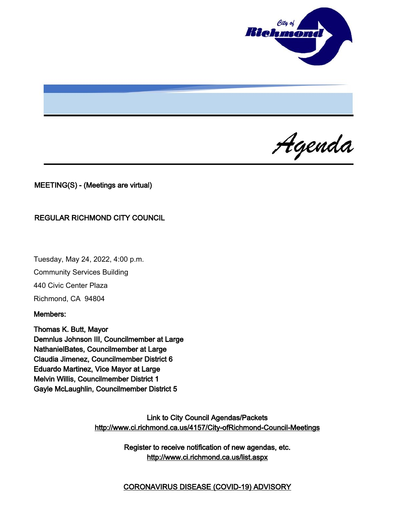

Agenda

MEETING(S) - (Meetings are virtual)

#### REGULAR RICHMOND CITY COUNCIL

Tuesday, May 24, 2022, 4:00 p.m. Community Services Building 440 Civic Center Plaza Richmond, CA 94804

Members:

Thomas K. Butt, Mayor Demnlus Johnson III, Councilmember at Large NathanielBates, Councilmember at Large Claudia Jimenez, Councilmember District 6 Eduardo Martinez, Vice Mayor at Large Melvin Willis, Councilmember District 1 Gayle McLaughlin, Councilmember District 5

> Link to City Council Agendas/Packets <http://www.ci.richmond.ca.us/4157/City-ofRichmond-Council-Meetings>

> > Register to receive notification of new agendas, etc. <http://www.ci.richmond.ca.us/list.aspx>

> > CORONAVIRUS DISEASE (COVID-19) ADVISORY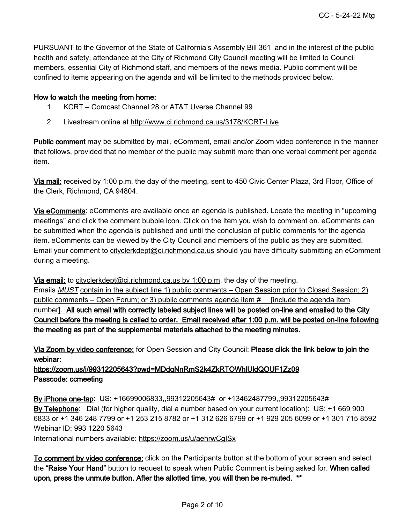PURSUANT to the Governor of the State of California's Assembly Bill 361 and in the interest of the public health and safety, attendance at the City of Richmond City Council meeting will be limited to Council members, essential City of Richmond staff, and members of the news media. Public comment will be confined to items appearing on the agenda and will be limited to the methods provided below.

#### How to watch the meeting from home:

- 1. KCRT Comcast Channel 28 or AT&T Uverse Channel 99
- 2. Livestream online at <http://www.ci.richmond.ca.us/3178/KCRT-Live>

Public comment may be submitted by mail, eComment, email and/or Zoom video conference in the manner that follows, provided that no member of the public may submit more than one verbal comment per agenda item.

Via mail: received by 1:00 p.m. the day of the meeting, sent to 450 Civic Center Plaza, 3rd Floor, Office of the Clerk, Richmond, CA 94804.

Via eComments: eComments are available once an agenda is published. Locate the meeting in "upcoming meetings" and click the comment bubble icon. Click on the item you wish to comment on. eComments can be submitted when the agenda is published and until the conclusion of public comments for the agenda item. eComments can be viewed by the City Council and members of the public as they are submitted. Email your comment to [cityclerkdept@ci.richmond.ca.us](mailto:cityclerkdept@ci.richmond.ca.us) should you have difficulty submitting an eComment during a meeting.

Via email: to [cityclerkdept@ci.richmond.ca.us](mailto:cityclerkdept@ci.richmond.ca.us) by 1:00 p.m. the day of the meeting. Emails **MUST** contain in the subject line 1) public comments – Open Session prior to Closed Session; 2) public comments – Open Forum; or 3) public comments agenda item # [include the agenda item number]. All such email with correctly labeled subject lines will be posted on-line and emailed to the City Council before the meeting is called to order. Email received after 1:00 p.m. will be posted on-line following the meeting as part of the supplemental materials attached to the meeting minutes.

Via Zoom by video conference: for Open Session and City Council: Please click the link below to join the webinar:

https://zoom.us/j/99312205643?pwd=MDdqNnRmS2k4ZkRTOWhlUldQOUF1Zz09 Passcode: ccmeeting

By iPhone one-tap: US: +16699006833,,99312205643# or +13462487799,,99312205643# By Telephone: Dial (for higher quality, dial a number based on your current location): US: +1 669 900 6833 or +1 346 248 7799 or +1 253 215 8782 or +1 312 626 6799 or +1 929 205 6099 or +1 301 715 8592 Webinar ID: 993 1220 5643

International numbers available: <https://zoom.us/u/aehrwCgISx>

To comment by video conference: click on the Participants button at the bottom of your screen and select the "Raise Your Hand" button to request to speak when Public Comment is being asked for. When called upon, press the unmute button. After the allotted time, you will then be re-muted. \*\*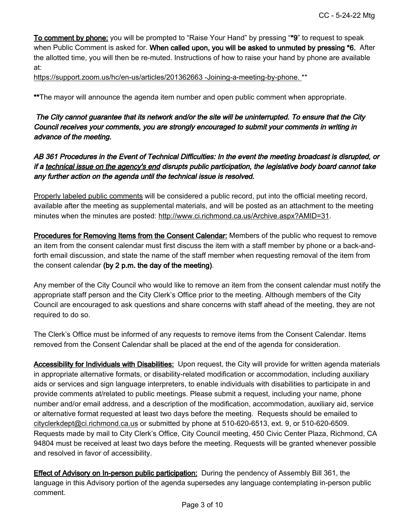To comment by phone: you will be prompted to "Raise Your Hand" by pressing "\*9" to request to speak when Public Comment is asked for. When called upon, you will be asked to unmuted by pressing \*6. After the allotted time, you will then be re-muted. Instructions of how to raise your hand by phone are available at:

[https://support.zoom.us/hc/en-us/articles/201362663 -Joining-a-meeting-by-phone.](https://support.zoom.us/hc/en-us/articles/201362663%20-Joining-a-meeting-by-phone.) \*\*

\*\*The mayor will announce the agenda item number and open public comment when appropriate.

## The City cannot guarantee that its network and/or the site will be uninterrupted. To ensure that the City Council receives your comments, you are strongly encouraged to submit your comments in writing in advance of the meeting.

## AB 361 Procedures in the Event of Technical Difficulties: In the event the meeting broadcast is disrupted, or if a technical issue on the agency's end disrupts public participation, the legislative body board cannot take any further action on the agenda until the technical issue is resolved.

Properly labeled public comments will be considered a public record, put into the official meeting record, available after the meeting as supplemental materials, and will be posted as an attachment to the meeting minutes when the minutes are posted: [http://www.ci.richmond.ca.us/Archive.aspx?AMID=31.](http://www.ci.richmond.ca.us/Archive.aspx?AMID=31)

**Procedures for Removing Items from the Consent Calendar:** Members of the public who request to remove an item from the consent calendar must first discuss the item with a staff member by phone or a back-andforth email discussion, and state the name of the staff member when requesting removal of the item from the consent calendar (by 2 p.m. the day of the meeting).

Any member of the City Council who would like to remove an item from the consent calendar must notify the appropriate staff person and the City Clerk's Office prior to the meeting. Although members of the City Council are encouraged to ask questions and share concerns with staff ahead of the meeting, they are not required to do so.

The Clerk's Office must be informed of any requests to remove items from the Consent Calendar. Items removed from the Consent Calendar shall be placed at the end of the agenda for consideration.

Accessibility for Individuals with Disabilities: Upon request, the City will provide for written agenda materials in appropriate alternative formats, or disability-related modification or accommodation, including auxiliary aids or services and sign language interpreters, to enable individuals with disabilities to participate in and provide comments at/related to public meetings. Please submit a request, including your name, phone number and/or email address, and a description of the modification, accommodation, auxiliary aid, service or alternative format requested at least two days before the meeting. Requests should be emailed to [cityclerkdept@ci.richmond.ca.us](mailto:cityclerkdept@ci.richmond.ca.us) or submitted by phone at 510-620-6513, ext. 9, or 510-620-6509. Requests made by mail to City Clerk's Office, City Council meeting, 450 Civic Center Plaza, Richmond, CA 94804 must be received at least two days before the meeting. Requests will be granted whenever possible and resolved in favor of accessibility.

**Effect of Advisory on In-person public participation:** During the pendency of Assembly Bill 361, the language in this Advisory portion of the agenda supersedes any language contemplating in-person public comment.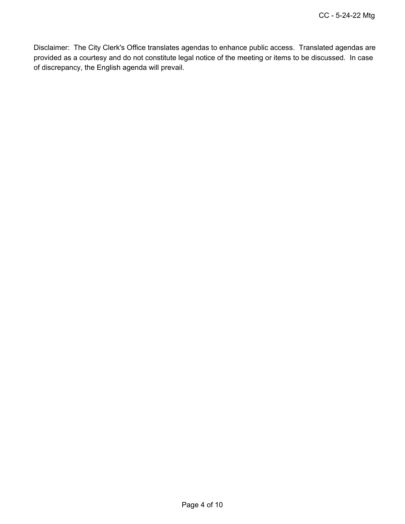Disclaimer: The City Clerk's Office translates agendas to enhance public access. Translated agendas are provided as a courtesy and do not constitute legal notice of the meeting or items to be discussed. In case of discrepancy, the English agenda will prevail.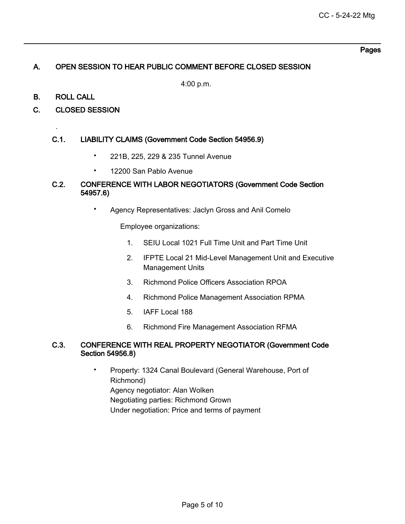#### Pages

### A. OPEN SESSION TO HEAR PUBLIC COMMENT BEFORE CLOSED SESSION

4:00 p.m.

B. ROLL CALL

.

C. CLOSED SESSION

## C.1. LIABILITY CLAIMS (Government Code Section 54956.9)

- 221B, 225, 229 & 235 Tunnel Avenue
- 12200 San Pablo Avenue

### C.2. CONFERENCE WITH LABOR NEGOTIATORS (Government Code Section 54957.6)

• Agency Representatives: Jaclyn Gross and Anil Comelo

Employee organizations:

- 1. SEIU Local 1021 Full Time Unit and Part Time Unit
- 2. IFPTE Local 21 Mid-Level Management Unit and Executive Management Units
- 3. Richmond Police Officers Association RPOA
- 4. Richmond Police Management Association RPMA
- 5. IAFF Local 188
- 6. Richmond Fire Management Association RFMA

#### C.3. CONFERENCE WITH REAL PROPERTY NEGOTIATOR (Government Code Section 54956.8)

• Property: 1324 Canal Boulevard (General Warehouse, Port of Richmond) Agency negotiator: Alan Wolken Negotiating parties: Richmond Grown Under negotiation: Price and terms of payment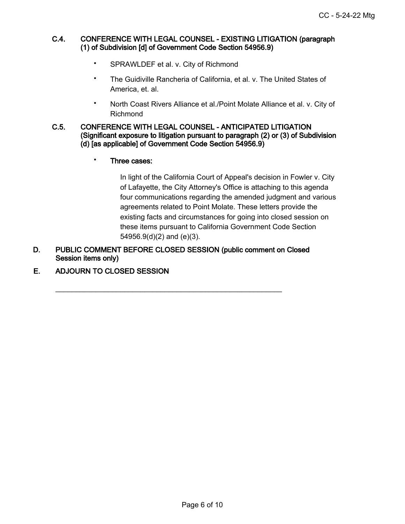#### C.4. CONFERENCE WITH LEGAL COUNSEL - EXISTING LITIGATION (paragraph (1) of Subdivision [d] of Government Code Section 54956.9)

- SPRAWLDEF et al. v. City of Richmond
- The Guidiville Rancheria of California, et al. v. The United States of America, et. al.
- North Coast Rivers Alliance et al./Point Molate Alliance et al. v. City of Richmond

#### C.5. CONFERENCE WITH LEGAL COUNSEL - ANTICIPATED LITIGATION (Significant exposure to litigation pursuant to paragraph (2) or (3) of Subdivision (d) [as applicable] of Government Code Section 54956.9)

• Three cases:

In light of the California Court of Appeal's decision in Fowler v. City of Lafayette, the City Attorney's Office is attaching to this agenda four communications regarding the amended judgment and various agreements related to Point Molate. These letters provide the existing facts and circumstances for going into closed session on these items pursuant to California Government Code Section 54956.9(d)(2) and (e)(3).

D. PUBLIC COMMENT BEFORE CLOSED SESSION (public comment on Closed Session items only)

\_\_\_\_\_\_\_\_\_\_\_\_\_\_\_\_\_\_\_\_\_\_\_\_\_\_\_\_\_\_\_\_\_\_\_\_\_\_\_\_\_\_\_\_\_\_\_\_\_\_\_\_\_\_\_\_

E. ADJOURN TO CLOSED SESSION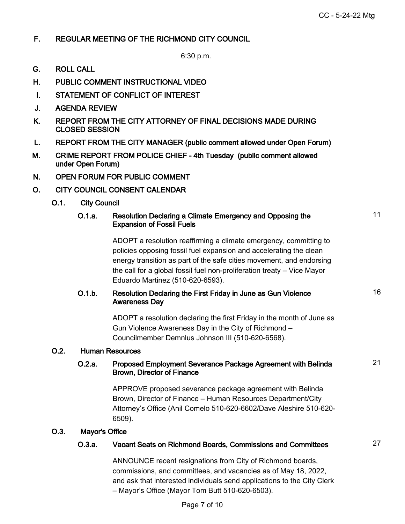11

16

21

## F. REGULAR MEETING OF THE RICHMOND CITY COUNCIL

6:30 p.m.

- G. ROLL CALL
- H. PUBLIC COMMENT INSTRUCTIONAL VIDEO
- I. STATEMENT OF CONFLICT OF INTEREST
- J. AGENDA REVIEW
- K. REPORT FROM THE CITY ATTORNEY OF FINAL DECISIONS MADE DURING CLOSED SESSION
- L. REPORT FROM THE CITY MANAGER (public comment allowed under Open Forum)
- M. CRIME REPORT FROM POLICE CHIEF 4th Tuesday (public comment allowed under Open Forum)
- N. OPEN FORUM FOR PUBLIC COMMENT
- O. CITY COUNCIL CONSENT CALENDAR
	- O.1. City Council

#### O.1.a. Resolution Declaring a Climate Emergency and Opposing the Expansion of Fossil Fuels

ADOPT a resolution reaffirming a climate emergency, committing to policies opposing fossil fuel expansion and accelerating the clean energy transition as part of the safe cities movement, and endorsing the call for a global fossil fuel non-proliferation treaty – Vice Mayor Eduardo Martinez (510-620-6593).

### O.1.b. Resolution Declaring the First Friday in June as Gun Violence Awareness Day

ADOPT a resolution declaring the first Friday in the month of June as Gun Violence Awareness Day in the City of Richmond – Councilmember Demnlus Johnson III (510-620-6568).

#### O.2. Human Resources

#### O.2.a. Proposed Employment Severance Package Agreement with Belinda Brown, Director of Finance

APPROVE proposed severance package agreement with Belinda Brown, Director of Finance – Human Resources Department/City Attorney's Office (Anil Comelo 510-620-6602/Dave Aleshire 510-620- 6509).

#### O.3. Mayor's Office

## O.3.a. Vacant Seats on Richmond Boards, Commissions and Committees 27

ANNOUNCE recent resignations from City of Richmond boards, commissions, and committees, and vacancies as of May 18, 2022, and ask that interested individuals send applications to the City Clerk – Mayor's Office (Mayor Tom Butt 510-620-6503).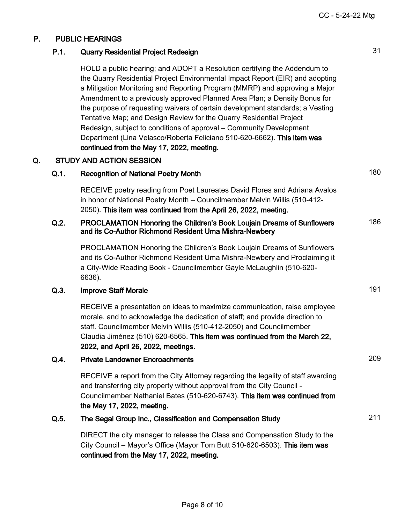## P. PUBLIC HEARINGS

#### P.1. Quarry Residential Project Redesign 31

HOLD a public hearing; and ADOPT a Resolution certifying the Addendum to the Quarry Residential Project Environmental Impact Report (EIR) and adopting a Mitigation Monitoring and Reporting Program (MMRP) and approving a Major Amendment to a previously approved Planned Area Plan; a Density Bonus for the purpose of requesting waivers of certain development standards; a Vesting Tentative Map; and Design Review for the Quarry Residential Project Redesign, subject to conditions of approval – Community Development Department (Lina Velasco/Roberta Feliciano 510-620-6662). This item was continued from the May 17, 2022, meeting.

#### Q. STUDY AND ACTION SESSION

## Q.1. Recognition of National Poetry Month 180

RECEIVE poetry reading from Poet Laureates David Flores and Adriana Avalos in honor of National Poetry Month – Councilmember Melvin Willis (510-412- 2050). This item was continued from the April 26, 2022, meeting.

#### Q.2. PROCLAMATION Honoring the Children's Book Loujain Dreams of Sunflowers and its Co-Author Richmond Resident Uma Mishra-Newbery 186

PROCLAMATION Honoring the Children's Book Loujain Dreams of Sunflowers and its Co-Author Richmond Resident Uma Mishra-Newbery and Proclaiming it a City-Wide Reading Book - Councilmember Gayle McLaughlin (510-620- 6636).

## Q.3. Improve Staff Morale 191

RECEIVE a presentation on ideas to maximize communication, raise employee morale, and to acknowledge the dedication of staff; and provide direction to staff. Councilmember Melvin Willis (510-412-2050) and Councilmember Claudia Jiménez (510) 620-6565. This item was continued from the March 22, 2022, and April 26, 2022, meetings.

## Q.4. Private Landowner Encroachments 209

RECEIVE a report from the City Attorney regarding the legality of staff awarding and transferring city property without approval from the City Council - Councilmember Nathaniel Bates (510-620-6743). This item was continued from the May 17, 2022, meeting.

#### Q.5. The Segal Group Inc., Classification and Compensation Study 211

DIRECT the city manager to release the Class and Compensation Study to the City Council – Mayor's Office (Mayor Tom Butt 510-620-6503). This item was continued from the May 17, 2022, meeting.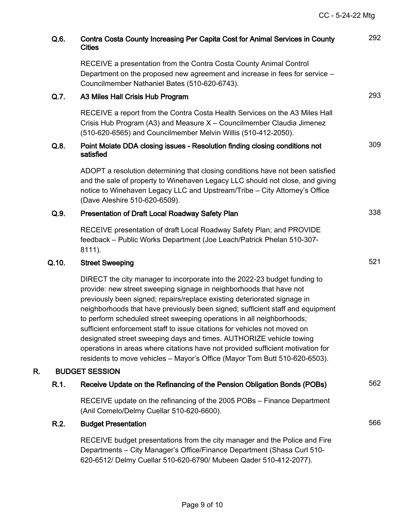| Q.6.  | Contra Costa County Increasing Per Capita Cost for Animal Services in County<br><b>Cities</b>                                                                                                                                                                                                                                                                                                                                                                                                                                                                                                                                                                                                                | 292 |
|-------|--------------------------------------------------------------------------------------------------------------------------------------------------------------------------------------------------------------------------------------------------------------------------------------------------------------------------------------------------------------------------------------------------------------------------------------------------------------------------------------------------------------------------------------------------------------------------------------------------------------------------------------------------------------------------------------------------------------|-----|
|       | RECEIVE a presentation from the Contra Costa County Animal Control<br>Department on the proposed new agreement and increase in fees for service -<br>Councilmember Nathaniel Bates (510-620-6743).                                                                                                                                                                                                                                                                                                                                                                                                                                                                                                           |     |
| Q.7.  | A3 Miles Hall Crisis Hub Program                                                                                                                                                                                                                                                                                                                                                                                                                                                                                                                                                                                                                                                                             | 293 |
|       | RECEIVE a report from the Contra Costa Health Services on the A3 Miles Hall<br>Crisis Hub Program (A3) and Measure X - Councilmember Claudia Jimenez<br>(510-620-6565) and Councilmember Melvin Willis (510-412-2050).                                                                                                                                                                                                                                                                                                                                                                                                                                                                                       |     |
| Q.8.  | Point Molate DDA closing issues - Resolution finding closing conditions not<br>satisfied                                                                                                                                                                                                                                                                                                                                                                                                                                                                                                                                                                                                                     | 309 |
|       | ADOPT a resolution determining that closing conditions have not been satisfied<br>and the sale of property to Winehaven Legacy LLC should not close, and giving<br>notice to Winehaven Legacy LLC and Upstream/Tribe - City Attorney's Office<br>(Dave Aleshire 510-620-6509).                                                                                                                                                                                                                                                                                                                                                                                                                               |     |
| Q.9.  | Presentation of Draft Local Roadway Safety Plan                                                                                                                                                                                                                                                                                                                                                                                                                                                                                                                                                                                                                                                              | 338 |
|       | RECEIVE presentation of draft Local Roadway Safety Plan; and PROVIDE<br>feedback - Public Works Department (Joe Leach/Patrick Phelan 510-307-<br>8111).                                                                                                                                                                                                                                                                                                                                                                                                                                                                                                                                                      |     |
| Q.10. | <b>Street Sweeping</b>                                                                                                                                                                                                                                                                                                                                                                                                                                                                                                                                                                                                                                                                                       | 521 |
|       | DIRECT the city manager to incorporate into the 2022-23 budget funding to<br>provide: new street sweeping signage in neighborhoods that have not<br>previously been signed; repairs/replace existing deteriorated signage in<br>neighborhoods that have previously been signed; sufficient staff and equipment<br>to perform scheduled street sweeping operations in all neighborhoods;<br>sufficient enforcement staff to issue citations for vehicles not moved on<br>designated street sweeping days and times. AUTHORIZE vehicle towing<br>operations in areas where citations have not provided sufficient motivation for<br>residents to move vehicles - Mayor's Office (Mayor Tom Butt 510-620-6503). |     |
| R.    | <b>BUDGET SESSION</b>                                                                                                                                                                                                                                                                                                                                                                                                                                                                                                                                                                                                                                                                                        |     |
| R.1.  | Receive Update on the Refinancing of the Pension Obligation Bonds (POBs)                                                                                                                                                                                                                                                                                                                                                                                                                                                                                                                                                                                                                                     | 562 |
|       | RECEIVE update on the refinancing of the 2005 POBs - Finance Department<br>(Anil Comelo/Delmy Cuellar 510-620-6600).                                                                                                                                                                                                                                                                                                                                                                                                                                                                                                                                                                                         |     |
| R.2.  | <b>Budget Presentation</b>                                                                                                                                                                                                                                                                                                                                                                                                                                                                                                                                                                                                                                                                                   | 566 |
|       | RECEIVE budget presentations from the city manager and the Police and Fire<br>Departments - City Manager's Office/Finance Department (Shasa Curl 510-<br>620-6512/ Delmy Cuellar 510-620-6790/ Mubeen Qader 510-412-2077).                                                                                                                                                                                                                                                                                                                                                                                                                                                                                   |     |